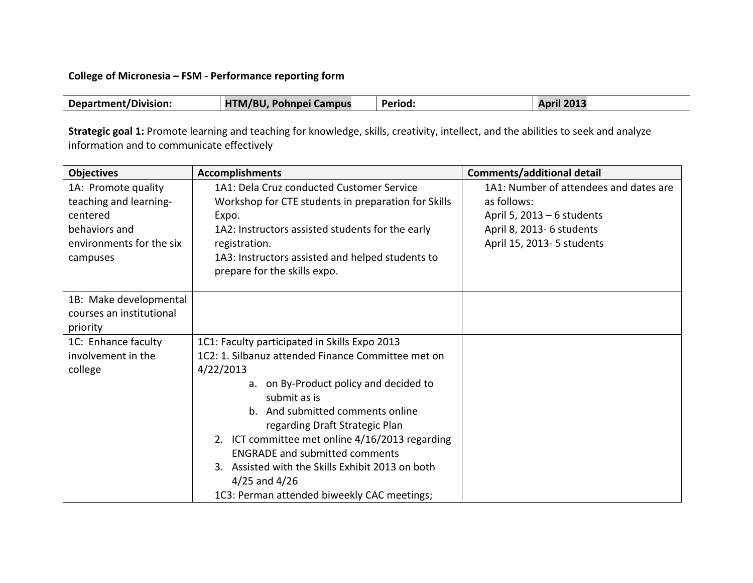## **College of Micronesia - FSM - Performance reporting form**

| <b>Department/Division:</b> | HTM/BU, Pohnpei Campus | <b>Period:</b> | <b>April 2013</b> |
|-----------------------------|------------------------|----------------|-------------------|

Strategic goal 1: Promote learning and teaching for knowledge, skills, creativity, intellect, and the abilities to seek and analyze information and to communicate effectively

| <b>Objectives</b>        | <b>Accomplishments</b>                              | <b>Comments/additional detail</b>      |
|--------------------------|-----------------------------------------------------|----------------------------------------|
| 1A: Promote quality      | 1A1: Dela Cruz conducted Customer Service           | 1A1: Number of attendees and dates are |
| teaching and learning-   | Workshop for CTE students in preparation for Skills | as follows:                            |
| centered                 | Expo.                                               | April 5, $2013 - 6$ students           |
| behaviors and            | 1A2: Instructors assisted students for the early    | April 8, 2013-6 students               |
| environments for the six | registration.                                       | April 15, 2013- 5 students             |
| campuses                 | 1A3: Instructors assisted and helped students to    |                                        |
|                          | prepare for the skills expo.                        |                                        |
|                          |                                                     |                                        |
| 1B: Make developmental   |                                                     |                                        |
| courses an institutional |                                                     |                                        |
| priority                 |                                                     |                                        |
| 1C: Enhance faculty      | 1C1: Faculty participated in Skills Expo 2013       |                                        |
| involvement in the       | 1C2: 1. Silbanuz attended Finance Committee met on  |                                        |
| college                  | 4/22/2013                                           |                                        |
|                          | a. on By-Product policy and decided to              |                                        |
|                          | submit as is                                        |                                        |
|                          | b. And submitted comments online                    |                                        |
|                          | regarding Draft Strategic Plan                      |                                        |
|                          | 2. ICT committee met online 4/16/2013 regarding     |                                        |
|                          | <b>ENGRADE and submitted comments</b>               |                                        |
|                          | 3. Assisted with the Skills Exhibit 2013 on both    |                                        |
|                          | $4/25$ and $4/26$                                   |                                        |
|                          | 1C3: Perman attended biweekly CAC meetings;         |                                        |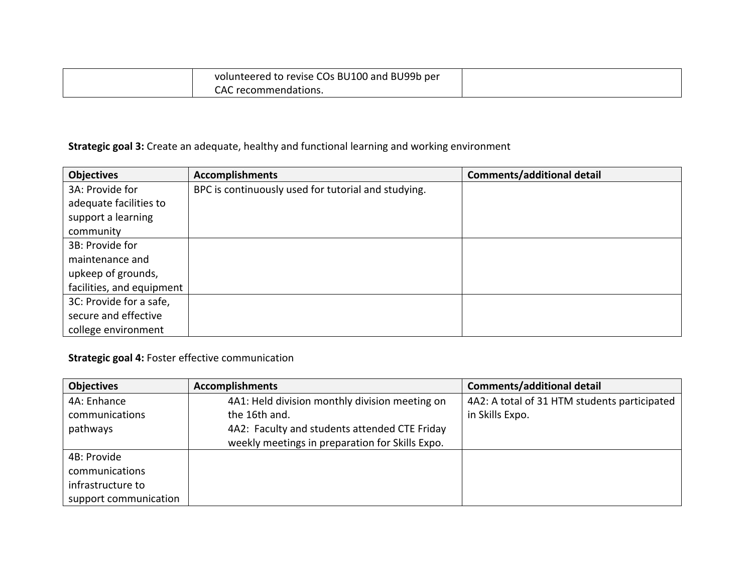| volunteered to revise COs BU100 and BU99b per |  |
|-----------------------------------------------|--|
| CAC recommendations.                          |  |

## **Strategic goal 3:** Create an adequate, healthy and functional learning and working environment

| <b>Objectives</b>         | <b>Accomplishments</b>                              | <b>Comments/additional detail</b> |
|---------------------------|-----------------------------------------------------|-----------------------------------|
| 3A: Provide for           | BPC is continuously used for tutorial and studying. |                                   |
| adequate facilities to    |                                                     |                                   |
| support a learning        |                                                     |                                   |
| community                 |                                                     |                                   |
| 3B: Provide for           |                                                     |                                   |
| maintenance and           |                                                     |                                   |
| upkeep of grounds,        |                                                     |                                   |
| facilities, and equipment |                                                     |                                   |
| 3C: Provide for a safe,   |                                                     |                                   |
| secure and effective      |                                                     |                                   |
| college environment       |                                                     |                                   |

**Strategic goal 4: Foster effective communication** 

| <b>Objectives</b>     | <b>Accomplishments</b>                          | <b>Comments/additional detail</b>            |
|-----------------------|-------------------------------------------------|----------------------------------------------|
| 4A: Enhance           | 4A1: Held division monthly division meeting on  | 4A2: A total of 31 HTM students participated |
| communications        | the 16th and.                                   | in Skills Expo.                              |
| pathways              | 4A2: Faculty and students attended CTE Friday   |                                              |
|                       | weekly meetings in preparation for Skills Expo. |                                              |
| 4B: Provide           |                                                 |                                              |
| communications        |                                                 |                                              |
| infrastructure to     |                                                 |                                              |
| support communication |                                                 |                                              |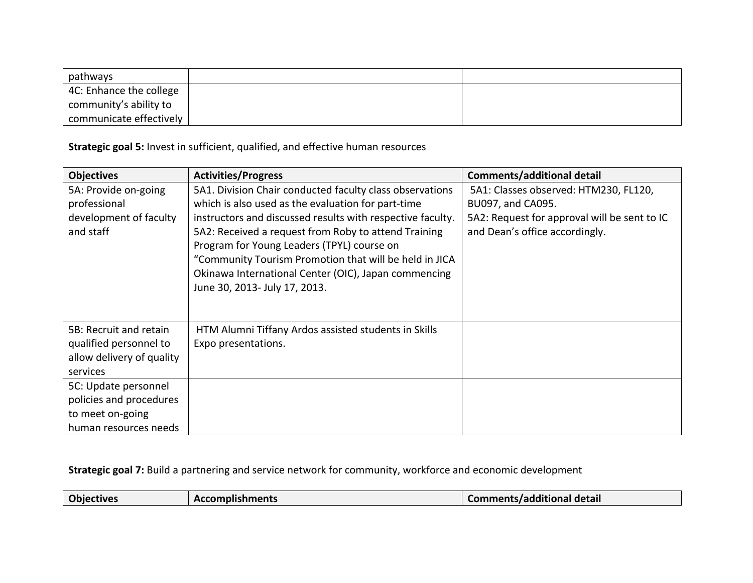| pathways                |  |
|-------------------------|--|
| 4C: Enhance the college |  |
| community's ability to  |  |
| communicate effectively |  |

## **Strategic goal 5:** Invest in sufficient, qualified, and effective human resources

| <b>Objectives</b>         | <b>Activities/Progress</b>                                 | <b>Comments/additional detail</b>            |
|---------------------------|------------------------------------------------------------|----------------------------------------------|
| 5A: Provide on-going      | 5A1. Division Chair conducted faculty class observations   | 5A1: Classes observed: HTM230, FL120,        |
| professional              | which is also used as the evaluation for part-time         | BU097, and CA095.                            |
| development of faculty    | instructors and discussed results with respective faculty. | 5A2: Request for approval will be sent to IC |
| and staff                 | 5A2: Received a request from Roby to attend Training       | and Dean's office accordingly.               |
|                           | Program for Young Leaders (TPYL) course on                 |                                              |
|                           | "Community Tourism Promotion that will be held in JICA     |                                              |
|                           | Okinawa International Center (OIC), Japan commencing       |                                              |
|                           | June 30, 2013- July 17, 2013.                              |                                              |
|                           |                                                            |                                              |
|                           |                                                            |                                              |
| 5B: Recruit and retain    | HTM Alumni Tiffany Ardos assisted students in Skills       |                                              |
| qualified personnel to    | Expo presentations.                                        |                                              |
| allow delivery of quality |                                                            |                                              |
| services                  |                                                            |                                              |
| 5C: Update personnel      |                                                            |                                              |
| policies and procedures   |                                                            |                                              |
| to meet on-going          |                                                            |                                              |
| human resources needs     |                                                            |                                              |

**Strategic goal 7:** Build a partnering and service network for community, workforce and economic development

| Comments/additional detail<br><b>Accomplishments</b><br>Objectives |  |
|--------------------------------------------------------------------|--|
|--------------------------------------------------------------------|--|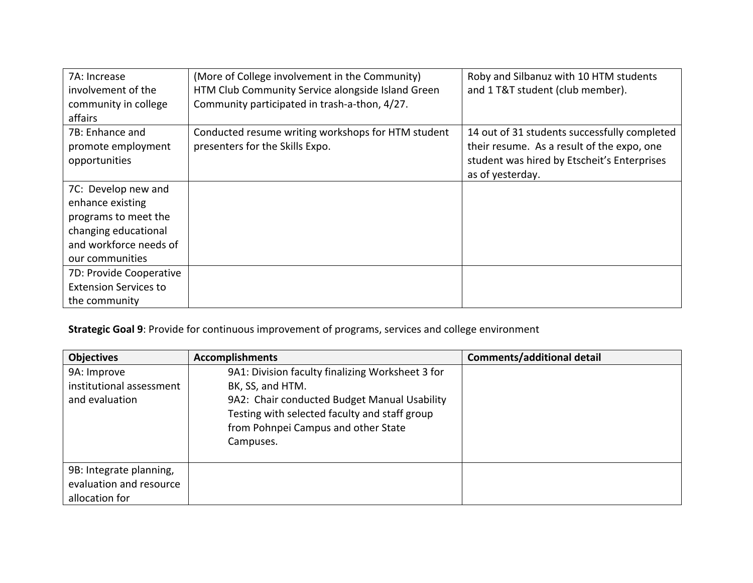| 7A: Increase                 | (More of College involvement in the Community)     | Roby and Silbanuz with 10 HTM students       |
|------------------------------|----------------------------------------------------|----------------------------------------------|
| involvement of the           | HTM Club Community Service alongside Island Green  | and 1 T&T student (club member).             |
| community in college         | Community participated in trash-a-thon, 4/27.      |                                              |
| affairs                      |                                                    |                                              |
| 7B: Enhance and              | Conducted resume writing workshops for HTM student | 14 out of 31 students successfully completed |
| promote employment           | presenters for the Skills Expo.                    | their resume. As a result of the expo, one   |
| opportunities                |                                                    | student was hired by Etscheit's Enterprises  |
|                              |                                                    | as of yesterday.                             |
| 7C: Develop new and          |                                                    |                                              |
| enhance existing             |                                                    |                                              |
| programs to meet the         |                                                    |                                              |
| changing educational         |                                                    |                                              |
| and workforce needs of       |                                                    |                                              |
| our communities              |                                                    |                                              |
| 7D: Provide Cooperative      |                                                    |                                              |
| <b>Extension Services to</b> |                                                    |                                              |
| the community                |                                                    |                                              |

**Strategic Goal 9**: Provide for continuous improvement of programs, services and college environment

| <b>Objectives</b>        | <b>Accomplishments</b>                           | <b>Comments/additional detail</b> |
|--------------------------|--------------------------------------------------|-----------------------------------|
| 9A: Improve              | 9A1: Division faculty finalizing Worksheet 3 for |                                   |
| institutional assessment | BK, SS, and HTM.                                 |                                   |
| and evaluation           | 9A2: Chair conducted Budget Manual Usability     |                                   |
|                          | Testing with selected faculty and staff group    |                                   |
|                          | from Pohnpei Campus and other State              |                                   |
|                          | Campuses.                                        |                                   |
|                          |                                                  |                                   |
| 9B: Integrate planning,  |                                                  |                                   |
| evaluation and resource  |                                                  |                                   |
| allocation for           |                                                  |                                   |